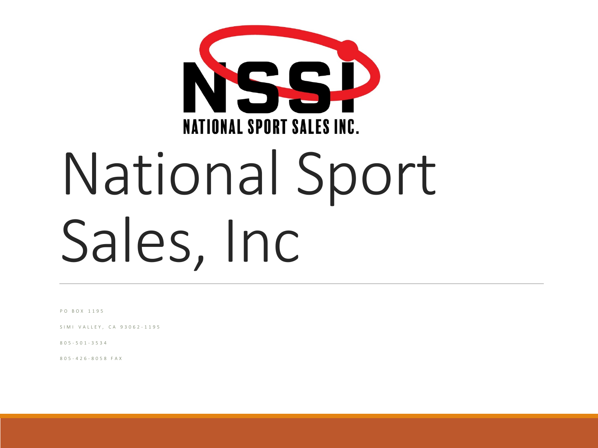

# National Sport Sales, Inc

PO BOX 1195

SIMI VALLEY, CA 93062 - 1195

805 - 501 - 3534

805 - 426 - 8058 FAX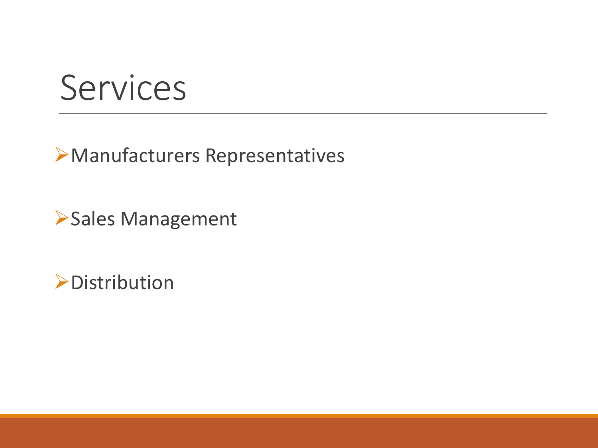#### Services

#### Manufacturers Representatives

Sales Management

**>Distribution**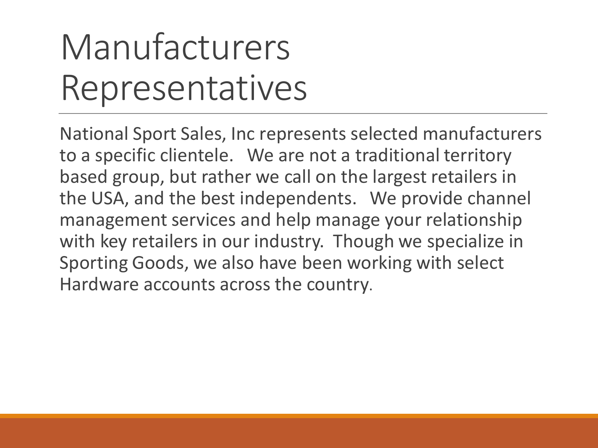# Manufacturers Representatives

National Sport Sales, Inc represents selected manufacturers to a specific clientele. We are not a traditional territory based group, but rather we call on the largest retailers in the USA, and the best independents. We provide channel management services and help manage your relationship with key retailers in our industry. Though we specialize in Sporting Goods, we also have been working with select Hardware accounts across the country.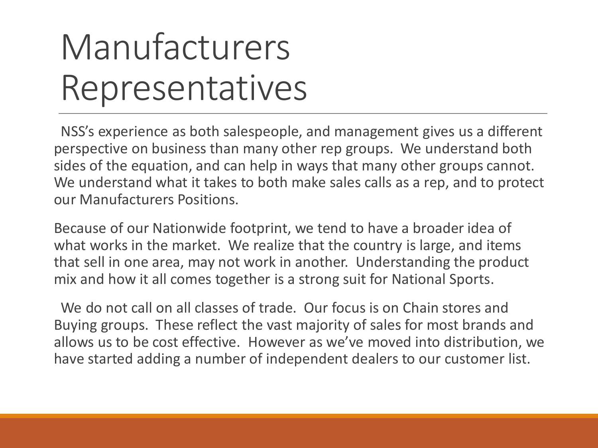# Manufacturers Representatives

NSS's experience as both salespeople, and management gives us a different perspective on business than many other rep groups. We understand both sides of the equation, and can help in ways that many other groups cannot. We understand what it takes to both make sales calls as a rep, and to protect our Manufacturers Positions.

Because of our Nationwide footprint, we tend to have a broader idea of what works in the market. We realize that the country is large, and items that sell in one area, may not work in another. Understanding the product mix and how it all comes together is a strong suit for National Sports.

We do not call on all classes of trade. Our focus is on Chain stores and Buying groups. These reflect the vast majority of sales for most brands and allows us to be cost effective. However as we've moved into distribution, we have started adding a number of independent dealers to our customer list.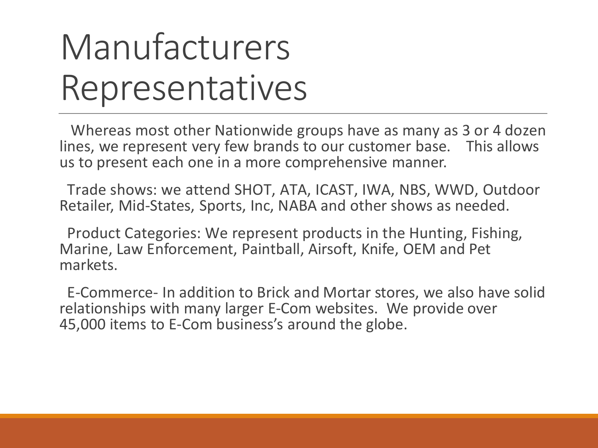### Manufacturers Representatives

Whereas most other Nationwide groups have as many as 3 or 4 dozen lines, we represent very few brands to our customer base. This allows us to present each one in a more comprehensive manner.

Trade shows: we attend SHOT, ATA, ICAST, IWA, NBS, WWD, Outdoor Retailer, Mid-States, Sports, Inc, NABA and other shows as needed.

Product Categories: We represent products in the Hunting, Fishing, Marine, Law Enforcement, Paintball, Airsoft, Knife, OEM and Pet markets.

E-Commerce- In addition to Brick and Mortar stores, we also have solid relationships with many larger E-Com websites. We provide over 45,000 items to E-Com business's around the globe.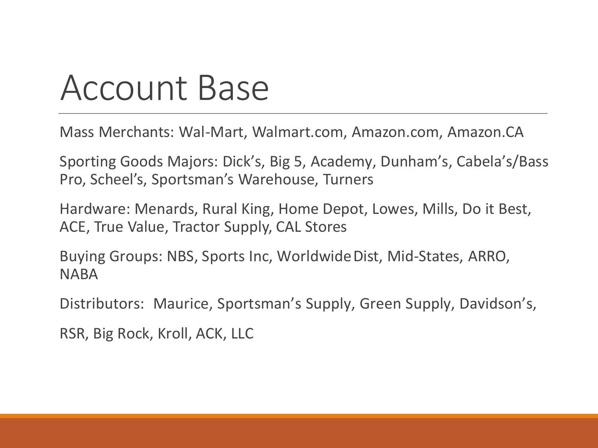#### Account Base

Mass Merchants: Wal-Mart, Walmart.com, Amazon.com, Amazon.CA

Sporting Goods Majors: Dick's, Big 5, Academy, Dunham's, Cabela's/Bass Pro, Scheel's, Sportsman's Warehouse, Turners

Hardware: Menards, Rural King, Home Depot, Lowes, Mills, Do it Best, ACE, True Value, Tractor Supply, CAL Stores

Buying Groups: NBS, Sports Inc, Worldwide Dist, Mid-States, ARRO, **NABA** 

Distributors: Maurice, Sportsman's Supply, Green Supply, Davidson's,

RSR, Big Rock, Kroll, ACK, LLC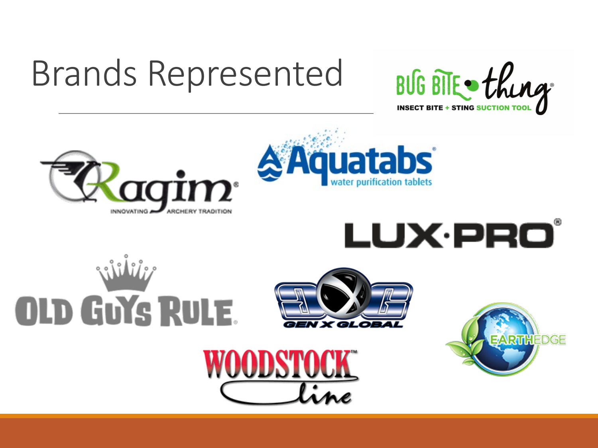# Brands Represented















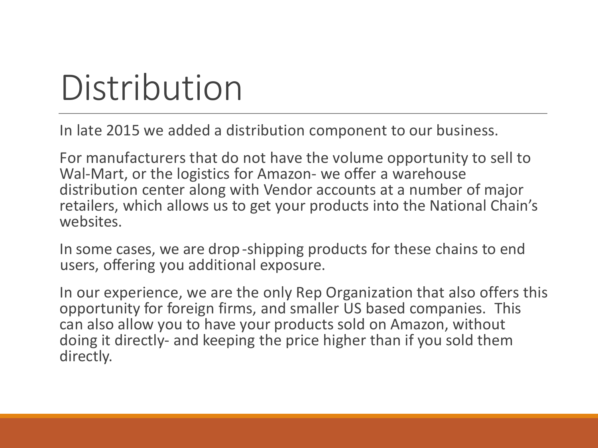#### Distribution

In late 2015 we added a distribution component to our business.

For manufacturers that do not have the volume opportunity to sell to Wal-Mart, or the logistics for Amazon- we offer a warehouse distribution center along with Vendor accounts at a number of major retailers, which allows us to get your products into the National Chain's websites.

In some cases, we are drop -shipping products for these chains to end users, offering you additional exposure.

In our experience, we are the only Rep Organization that also offers this opportunity for foreign firms, and smaller US based companies. This can also allow you to have your products sold on Amazon, without doing it directly- and keeping the price higher than if you sold them directly.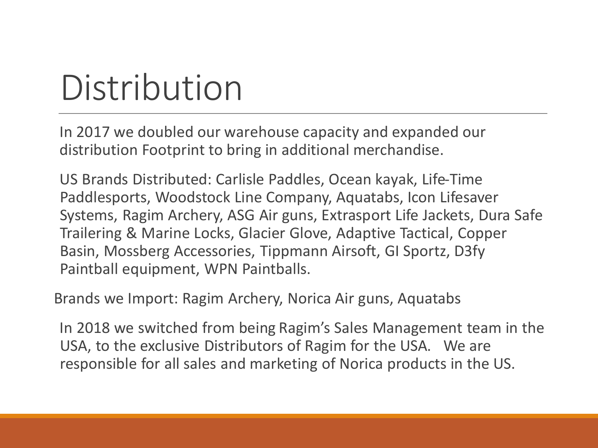# Distribution

In 2017 we doubled our warehouse capacity and expanded our distribution Footprint to bring in additional merchandise.

US Brands Distributed: Carlisle Paddles, Ocean kayak, Life-Time Paddlesports, Woodstock Line Company, Aquatabs, Icon Lifesaver Systems, Ragim Archery, ASG Air guns, Extrasport Life Jackets, Dura Safe Trailering & Marine Locks, Glacier Glove, Adaptive Tactical, Copper Basin, Mossberg Accessories, Tippmann Airsoft, GI Sportz, D3fy Paintball equipment, WPN Paintballs.

Brands we Import: Ragim Archery, Norica Air guns, Aquatabs

In 2018 we switched from being Ragim's Sales Management team in the USA, to the exclusive Distributors of Ragim for the USA. We are responsible for all sales and marketing of Norica products in the US.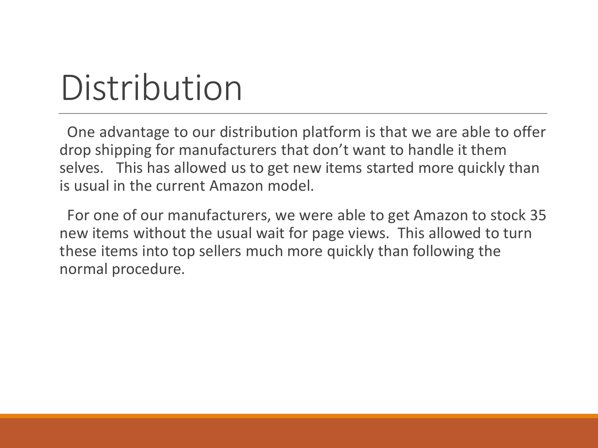#### Distribution

One advantage to our distribution platform is that we are able to offer drop shipping for manufacturers that don't want to handle it them selves. This has allowed us to get new items started more quickly than is usual in the current Amazon model.

For one of our manufacturers, we were able to get Amazon to stock 35 new items without the usual wait for page views. This allowed to turn these items into top sellers much more quickly than following the normal procedure.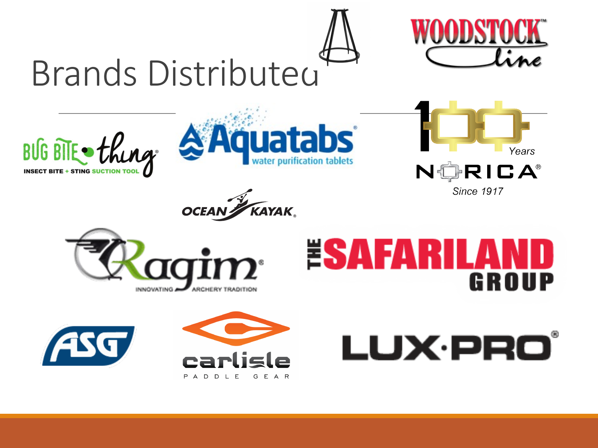





LUX·PRO®



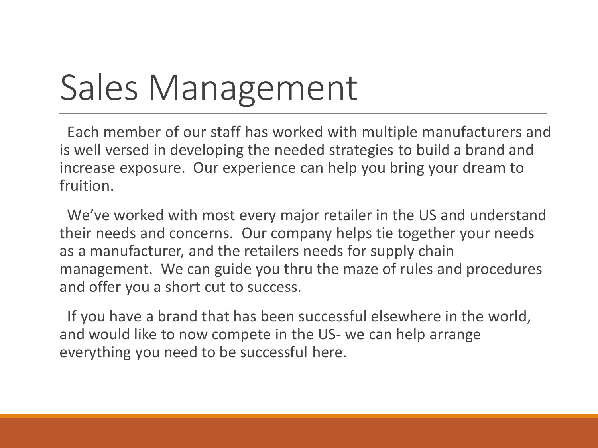#### Sales Management

Each member of our staff has worked with multiple manufacturers and is well versed in developing the needed strategies to build a brand and increase exposure. Our experience can help you bring your dream to fruition.

We've worked with most every major retailer in the US and understand their needs and concerns. Our company helps tie together your needs as a manufacturer, and the retailers needs for supply chain management. We can guide you thru the maze of rules and procedures and offer you a short cut to success.

If you have a brand that has been successful elsewhere in the world, and would like to now compete in the US- we can help arrange everything you need to be successful here.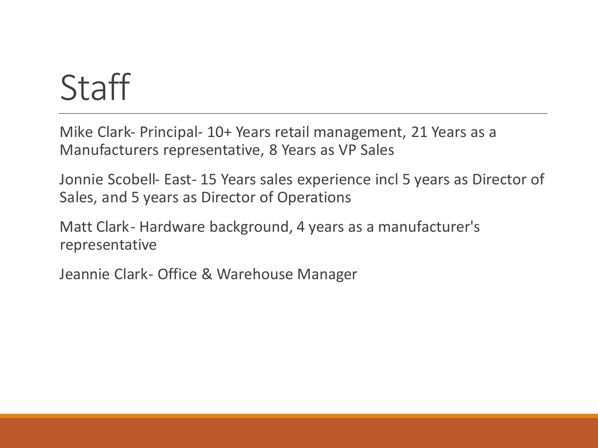#### **Staff**

Mike Clark- Principal- 10+ Years retail management, 21 Years as a Manufacturers representative, 8 Years as VP Sales

Jonnie Scobell- East- 15 Years sales experience incl 5 years as Director of Sales, and 5 years as Director of Operations

Matt Clark- Hardware background, 4 years as a manufacturer's representative

Jeannie Clark- Office & Warehouse Manager